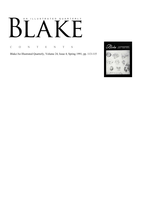# AN ILLUSTRATED QUARTERLY

C O N T E N T S

Blake/An Illustrated Quarterly, Volume 24, Issue 4, Spring 1991, pp. 113-115

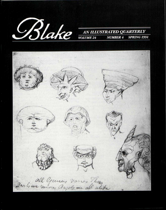

#### AN ILLUSTRATED QUARTERLY **VOLUME 24 NUMBER 4 SPRING 1991**

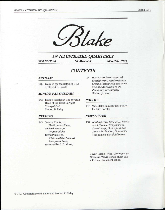



## *AN ILLUSTRATED QUARTERLY VOLUME 24 NUMBER 4 SPRING 1991*

### *CONTENTS*

#### *ARTICLES*

116 Blake in the Marketplace, 1990 by Robert N. Essick

#### *MINUTE PARTICULARS*

142 Blake's Headgear: The Seventh Head of the Beast in *Night Thoughts* 345 Morton D. Paley

#### *REVIEWS*

145 Stanley Kunitz, ed. *The Essential Blake,*  Michael Mason, ed., *William Blake,*  David Punter, ed. *William Blake: Selected Poetry and Prose,*  reviewed by E. B. Murray

154 Syndy McMillen Conger, ed. *Sensibility in Transformation: Creative Resistance to Sentiment from the Augustans to the Romantics,* reviewed by Wallace Jackson

#### *POETRY*

157 Mrs. Blake Requests Her Portrait Paulette Roeske

#### *NEWSLETTER*

158 *Northrop Frye, 1912-1991, Wordsivorth Summer Conference at Dove Cottage, Centre for British Studies Publication, Blake at the Tate,* Blake's *Email Addresses* 

Cover. Blake. *Nine Grotesque or Demonic Heads.* Pencil, sheet 18.6 x 18.4 cm. Essick collection.